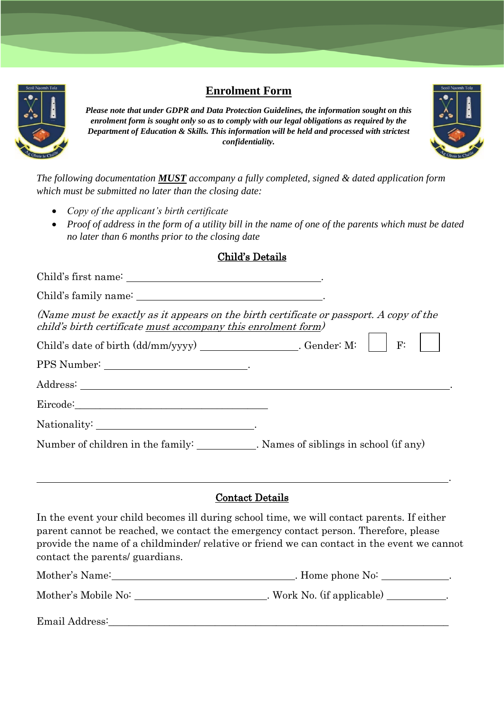

# **Enrolment Form**

*Please note that under GDPR and Data Protection Guidelines, the information sought on this enrolment form is sought only so as to comply with our legal obligations as required by the Department of Education & Skills. This information will be held and processed with strictest confidentiality.*



*The following documentation MUST accompany a fully completed, signed & dated application form which must be submitted no later than the closing date:*

- *Copy of the applicant's birth certificate*
- *Proof of address in the form of a utility bill in the name of one of the parents which must be dated no later than 6 months prior to the closing date*

### Child's Details

| (Name must be exactly as it appears on the birth certificate or passport. A copy of the<br>child's birth certificate must accompany this enrolment form) |    |
|----------------------------------------------------------------------------------------------------------------------------------------------------------|----|
|                                                                                                                                                          | F: |
|                                                                                                                                                          |    |
|                                                                                                                                                          |    |
| Eircode: Note: No. 2014                                                                                                                                  |    |
|                                                                                                                                                          |    |
| Number of children in the family: Names of siblings in school (if any)                                                                                   |    |

#### Contact Details

<u>. Andre de la componentación de la componentación de la componentación de la componentación de la componentaci</u>

In the event your child becomes ill during school time, we will contact parents. If either parent cannot be reached, we contact the emergency contact person. Therefore, please provide the name of a childminder/ relative or friend we can contact in the event we cannot contact the parents/ guardians.

| Mother's Name:      | . Home phone No:           |
|---------------------|----------------------------|
| Mother's Mobile No: | . Work No. (if applicable) |
| Email Address:      |                            |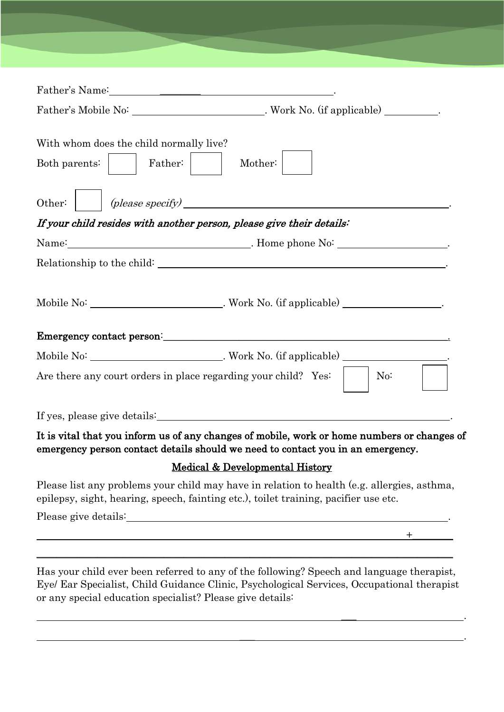| With whom does the child normally live?<br>Both parents:     Father:    <br>Mother:                                                                                                                                                                  |
|------------------------------------------------------------------------------------------------------------------------------------------------------------------------------------------------------------------------------------------------------|
| (please specify)<br>Other:                                                                                                                                                                                                                           |
| If your child resides with another person, please give their details:                                                                                                                                                                                |
| Name: Name: Name: Note of the Social Contract of the Social Contract of the Society of the Society of the Society of the Society of the Society of the Society of the Society of the Society of the Society of the Society of                        |
|                                                                                                                                                                                                                                                      |
| Mobile No: __________________________________. Work No. (if applicable) ____________________.<br>Are there any court orders in place regarding your child? Yes: $ $   No:                                                                            |
|                                                                                                                                                                                                                                                      |
| It is vital that you inform us of any changes of mobile, work or home numbers or changes of<br>emergency person contact details should we need to contact you in an emergency.                                                                       |
| <b>Medical &amp; Developmental History</b>                                                                                                                                                                                                           |
| Please list any problems your child may have in relation to health (e.g. allergies, asthma,<br>epilepsy, sight, hearing, speech, fainting etc.), toilet training, pacifier use etc.                                                                  |
|                                                                                                                                                                                                                                                      |
|                                                                                                                                                                                                                                                      |
|                                                                                                                                                                                                                                                      |
| Has your child ever been referred to any of the following? Speech and language therapist,<br>Eye/ Ear Specialist, Child Guidance Clinic, Psychological Services, Occupational therapist<br>or any special education specialist? Please give details: |

\_\_\_ .

 $\mathcal{L}_\mathcal{L}$  . The contract of the contract of the contract of the contract of the contract of the contract of the contract of the contract of the contract of the contract of the contract of the contract of the contract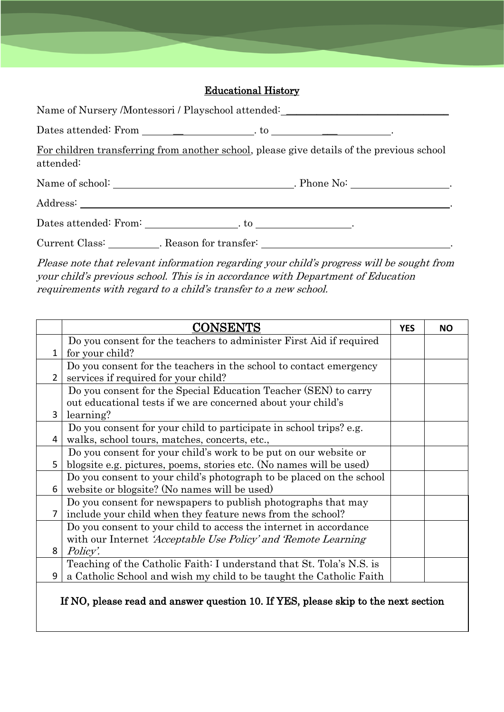## Educational History

|                                                 | Name of Nursery /Montessori / Playschool attended: _____________________________          |
|-------------------------------------------------|-------------------------------------------------------------------------------------------|
|                                                 |                                                                                           |
| attended:                                       | For children transferring from another school, please give details of the previous school |
|                                                 |                                                                                           |
|                                                 |                                                                                           |
|                                                 |                                                                                           |
| Current Class: __________. Reason for transfer: |                                                                                           |

Please note that relevant information regarding your child's progress will be sought from your child's previous school. This is in accordance with Department of Education requirements with regard to a child's transfer to a new school.

|                | CONSENTS                                                                           | <b>YES</b> | NΟ |
|----------------|------------------------------------------------------------------------------------|------------|----|
|                | Do you consent for the teachers to administer First Aid if required                |            |    |
|                | $1 \mid$ for your child?                                                           |            |    |
|                | Do you consent for the teachers in the school to contact emergency                 |            |    |
| $\overline{2}$ | services if required for your child?                                               |            |    |
|                | Do you consent for the Special Education Teacher (SEN) to carry                    |            |    |
|                | out educational tests if we are concerned about your child's                       |            |    |
| $\overline{3}$ | learning?                                                                          |            |    |
|                | Do you consent for your child to participate in school trips? e.g.                 |            |    |
| 4              | walks, school tours, matches, concerts, etc.,                                      |            |    |
|                | Do you consent for your child's work to be put on our website or                   |            |    |
| 5              | blogsite e.g. pictures, poems, stories etc. (No names will be used)                |            |    |
|                | Do you consent to your child's photograph to be placed on the school               |            |    |
| 6              | website or blogsite? (No names will be used)                                       |            |    |
|                | Do you consent for newspapers to publish photographs that may                      |            |    |
| $\overline{7}$ | include your child when they feature news from the school?                         |            |    |
|                | Do you consent to your child to access the internet in accordance                  |            |    |
|                | with our Internet <i>Acceptable Use Policy' and Remote Learning</i>                |            |    |
| 8              | <i>Policy</i> .                                                                    |            |    |
|                | Teaching of the Catholic Faith: I understand that St. Tola's N.S. is               |            |    |
| 9              | a Catholic School and wish my child to be taught the Catholic Faith                |            |    |
|                | If NO, please read and answer question 10. If YES, please skip to the next section |            |    |